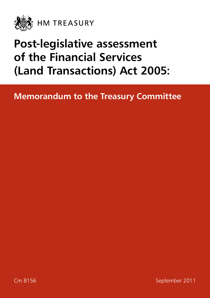

## **Post-legislative assessment of the Financial Services (Land Transactions) Act 2005:**

## **Memorandum to the Treasury Committee**

Em 8156 September 2011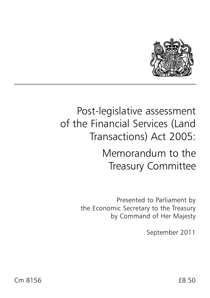

## Post-legislative assessment of the Financial Services (Land Transactions) Act 2005:

## Memorandum to the Treasury Committee

Presented to Parliament by the Economic Secretary to the Treasury by Command of Her Majesty

September 2011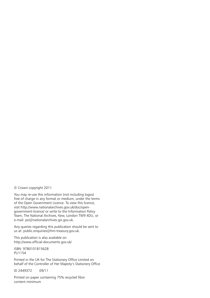© Crown copyright 2011

You may re-use this information (not including logos) free of charge in any format or medium, under the terms of the Open Government Licence. To view this licence, visit [http://www.nationalarchives.gov.uk/doc/open](http://www.nationalarchives.gov.uk/doc/open-government-licence/)[government-licence/](http://www.nationalarchives.gov.uk/doc/open-government-licence/) or write to the Information Policy Team, The National Archives, Kew, London TW9 4DU, or e-mail: [psi@nationalarchives.gsi.gov.uk.](mailto:psi%40nationalarchives.gsi.gov.uk?subject=)

Any queries regarding this publication should be sent to us at: [public.enquiries@hm-treasury.gov.uk.](mailto:public.enquiries%40hm-treasury.gov.uk?subject=)

This publication is also available on <http://www.official-documents.gov.uk/>

ISBN: 9780101815628 PU1154

Printed in the UK for The Stationery Office Limited on behalf of the Controller of Her Majesty's Stationery Office

ID 2449372 09/11

Printed on paper containing 75% recycled fibre content minimum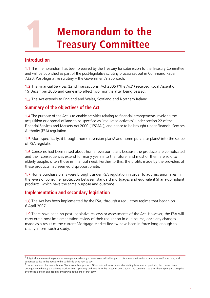# **1 Memorandum to the<br>Treasury Committee Treasury Committee**

#### **Introduction**

1.1 This memorandum has been prepared by the Treasury for submission to the Treasury Committee and will be published as part of the post-legislative scrutiny process set out in Command Paper 7320: Post-legislative scrutiny – the Government's approach.

1.2 The Financial Services (Land Transactions) Act 2005 ("the Act") received Royal Assent on 19 December 2005 and came into effect two months after being passed.

1.3 The Act extends to England and Wales, Scotland and Northern Ireland.

### **Summary of the objectives of the Act**

**1.4** The purpose of the Act is to enable activities relating to financial arrangements involving the acquisition or disposal of land to be specified as "regulated activities" under section 22 of the Financial Services and Markets Act 2000 ("FSMA"), and hence to be brought under Financial Services Authority (FSA) regulation.

**[1](#page-4-0).5** More specifically, it brought home reversion plans<sup>1</sup> and home purchase plans<sup>[2](#page-4-1)</sup> into the scope of FSA regulation.

1.6 Concerns had been raised about home reversion plans because the products are complicated and their consequences extend for many years into the future, and most of them are sold to elderly people, often those in financial need. Further to this, the profits made by the providers of these products had seemed disproportionate.

1.7 Home purchase plans were brought under FSA regulation in order to address anomalies in the levels of consumer protection between standard mortgages and equivalent Sharia-compliant products, which have the same purpose and outcome.

#### **Implementation and secondary legislation**

1.8 The Act has been implemented by the FSA, through a regulatory regime that began on 6 April 2007.

1.9 There have been no post-legislative reviews or assessments of the Act. However, the FSA will carry out a post-implementation review of their regulation in due course, once any changes made as a result of the current Mortgage Market Review have been in force long enough to clearly inform such a study.

<span id="page-4-0"></span> $1$  A typical home reversion plan is an arrangement whereby a homeowner sells all or part of his house in return for a lump sum and/or income, and continues to live in the house for life with little or no rent to pay.

<span id="page-4-1"></span> $<sup>2</sup>$  Home purchase plans are a type of Sharia compliant product. Often referred to as Ijara or diminishing Musharakah products, the contract is an</sup> arrangement whereby the scheme provider buys a property and rents it to the customer over a term. The customer also pays the original purchase price over the same term and acquires ownership at the end of that term.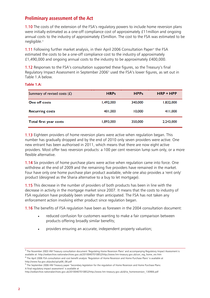#### **Preliminary assessment of the Act**

1.10 The costs of the extension of the FSA's regulatory powers to include home reversion plans were initially estimated as a one-off compliance cost of approximately £11million and ongoing annual costs to the industry of approximately £5million. The cost to the FSA was estimated to be negligible.[3](#page-5-0)

**1.11** Following further market analysis, in their April 2006 Consultation Paper<sup>[4](#page-5-1)</sup> the FSA estimated the costs to be a one-off compliance cost to the industry of approximately £1,490,000 and ongoing annual costs to the industry to be approximately £400,000.

1.12 Responses to the FSA's consultation supported these figures, so the Treasury's final Regulatory Impact Assessment in September 2006 [5](#page-5-2) used the FSA's lower figures, as set out in Table 1.A below.

#### **Table 1.A:**

| Summary of revised costs $(E)$ | <b>HRPs</b> | <b>HPPs</b> | $HRP + HPP$ |
|--------------------------------|-------------|-------------|-------------|
| One off costs                  | 1,492,000   | 340,000     | 1,832,000   |
| <b>Recurring costs</b>         | 401,000     | 10,000      | 411,000     |
| Total first year costs         | 1,893,000   | 350,000     | 2,243,000   |

1.13 Eighteen providers of home reversion plans were active when regulation began. This number has gradually dropped and by the end of 2010 only seven providers were active. One new entrant has been authorised in 2011, which means that there are now eight active providers. Most offer two reversion products: a 100 per cent reversion lump sum only, or a more flexible alternative.

1.14 Six providers of home purchase plans were active when regulation came into force. One withdrew at the end of 2009 and the remaining five providers have remained in the market. Four have only one home purchase plan product available, while one also provides a 'rent only' product (designed as the Sharia alternative to a buy to let mortgage).

1.15 This decrease in the number of providers of both products has been in line with the decrease in activity in the mortgage market since 2007. It means that the costs to industry of FSA regulation have probably been smaller than anticipated. The FSA has not taken any enforcement action involving either product since regulation began.

1.16 The benefits of FSA regulation have been as foreseen in the 2004 consultation document:

- reduced confusion for customers wanting to make a fair comparison between products offering broadly similar benefits;
- providers ensuring an accurate, independent property valuation;

<span id="page-5-0"></span><sup>&</sup>lt;sup>3</sup> The November 2003 HM Treasury consultation document 'Regulating Home Reversion Plans' and accompanying Regulatory Impact Assessment is available at: http://webarchive.nationalarchives.gov.uk/20100407010852/http://www.hm-treasury.gov.uk/con\_reg\_home\_rev.htm

<span id="page-5-1"></span><sup>4</sup> The April 2006 FSA consultation and cost benefit analysis 'Regulation of Home Reversion and Home Purchase Plans' is available at http://www.fsa.gov.uk/pubs/cp/cp06\_08.pdf

<span id="page-5-2"></span><sup>5</sup> The September 2006 HM Treasury paper 'Secondary legislation for the regulation of Home Reversion and Home Purchase Plans: A final regulatory impact assessment' is available at

http://webarchive.nationalarchives.gov.uk/20100407010852/http://www.hm-treasury.gov.uk/d/ria\_homereversion\_130906.pdf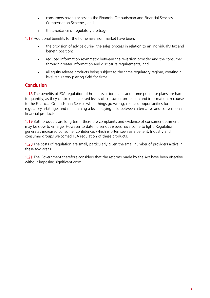- consumers having access to the Financial Ombudsman and Financial Services Compensation Schemes; and
- the avoidance of regulatory arbitrage.

1.17 Additional benefits for the home reversion market have been:

- the provision of advice during the sales process in relation to an individual's tax and benefit position;
- reduced information asymmetry between the reversion provider and the consumer through greater information and disclosure requirements; and
- all equity release products being subject to the same regulatory regime, creating a level regulatory playing field for firms.

#### **Conclusion**

1.18 The benefits of FSA regulation of home reversion plans and home purchase plans are hard to quantify, as they centre on increased levels of consumer protection and information; recourse to the Financial Ombudsman Service when things go wrong; reduced opportunities for regulatory arbitrage; and maintaining a level playing field between alternative and conventional financial products.

1.19 Both products are long term, therefore complaints and evidence of consumer detriment may be slow to emerge. However to date no serious issues have come to light. Regulation generates increased consumer confidence, which is often seen as a benefit. Industry and consumer groups welcomed FSA regulation of these products.

1.20 The costs of regulation are small, particularly given the small number of providers active in these two areas.

1.21 The Government therefore considers that the reforms made by the Act have been effective without imposing significant costs.